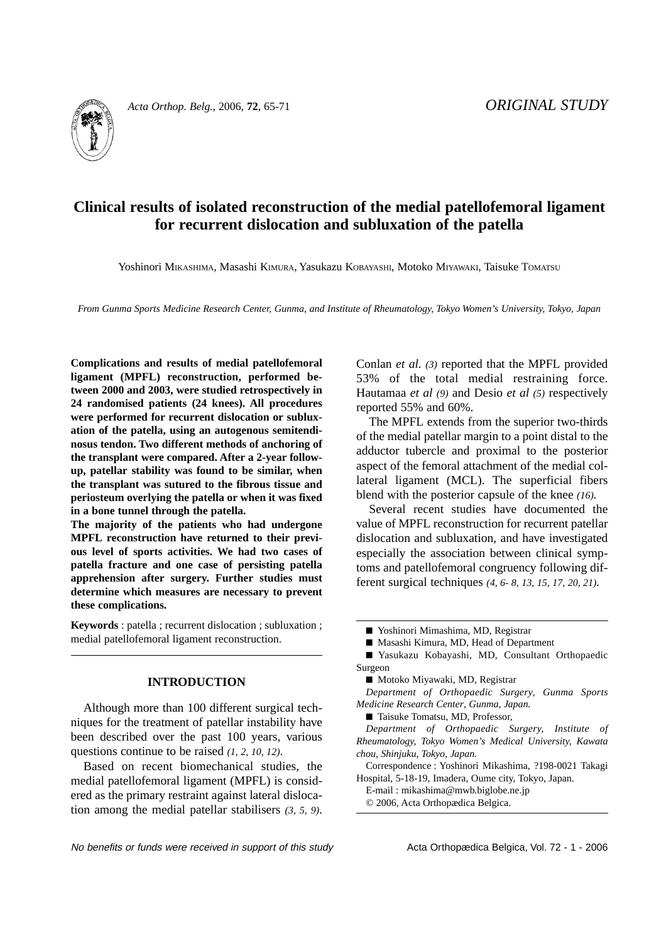

*Acta Orthop. Belg.*, 2006, **72**, 65-71 *ORIGINAL STUDY*

# **Clinical results of isolated reconstruction of the medial patellofemoral ligament for recurrent dislocation and subluxation of the patella**

Yoshinori MIKASHIMA, Masashi KIMURA, Yasukazu KOBAYASHI, Motoko MIYAWAKI, Taisuke TOMATSU

*From Gunma Sports Medicine Research Center, Gunma, and Institute of Rheumatology, Tokyo Women's University, Tokyo, Japan*

**Complications and results of medial patellofemoral ligament (MPFL) reconstruction, performed between 2000 and 2003, were studied retrospectively in 24 randomised patients (24 knees). All procedures were performed for recurrent dislocation or subluxation of the patella, using an autogenous semitendinosus tendon. Two different methods of anchoring of the transplant were compared. After a 2-year followup, patellar stability was found to be similar, when the transplant was sutured to the fibrous tissue and periosteum overlying the patella or when it was fixed in a bone tunnel through the patella.**

**The majority of the patients who had undergone MPFL reconstruction have returned to their previous level of sports activities. We had two cases of patella fracture and one case of persisting patella apprehension after surgery. Further studies must determine which measures are necessary to prevent these complications.**

**Keywords** : patella ; recurrent dislocation ; subluxation ; medial patellofemoral ligament reconstruction.

## **INTRODUCTION**

Although more than 100 different surgical techniques for the treatment of patellar instability have been described over the past 100 years, various questions continue to be raised *(1, 2, 10, 12)*.

Based on recent biomechanical studies, the medial patellofemoral ligament (MPFL) is considered as the primary restraint against lateral dislocation among the medial patellar stabilisers *(3, 5, 9)*. Conlan *et al. (3)* reported that the MPFL provided 53% of the total medial restraining force. Hautamaa *et al (9)* and Desio *et al (5)* respectively reported 55% and 60%.

The MPFL extends from the superior two-thirds of the medial patellar margin to a point distal to the adductor tubercle and proximal to the posterior aspect of the femoral attachment of the medial collateral ligament (MCL). The superficial fibers blend with the posterior capsule of the knee *(16).*

Several recent studies have documented the value of MPFL reconstruction for recurrent patellar dislocation and subluxation, and have investigated especially the association between clinical symptoms and patellofemoral congruency following different surgical techniques *(4, 6- 8, 13, 15, 17, 20, 21).*

■ Masashi Kimura, MD, Head of Department

*Department of Orthopaedic Surgery, Gunma Sports Medicine Research Center*, *Gunma, Japan.*

■ Taisuke Tomatsu, MD, Professor,

*Department of Orthopaedic Surgery, Institute of Rheumatology, Tokyo Women's Medical University, Kawata chou, Shinjuku, Tokyo, Japan.*

Correspondence : Yoshinori Mikashima, ?198-0021 Takagi Hospital, 5-18-19, Imadera, Oume city, Tokyo, Japan.

E-mail : mikashima@mwb.biglobe.ne.jp

© 2006, Acta Orthopædica Belgica.

<sup>■</sup> Yoshinori Mimashima, MD, Registrar

<sup>■</sup> Yasukazu Kobayashi, MD, Consultant Orthopaedic Surgeon

<sup>■</sup> Motoko Miyawaki, MD, Registrar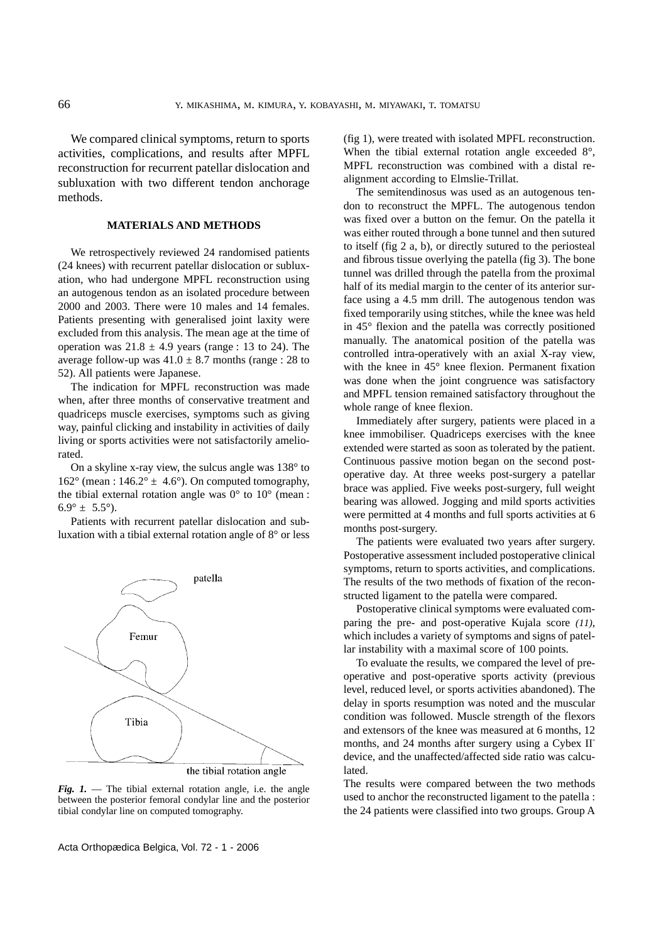We compared clinical symptoms, return to sports activities, complications, and results after MPFL reconstruction for recurrent patellar dislocation and subluxation with two different tendon anchorage methods.

### **MATERIALS AND METHODS**

We retrospectively reviewed 24 randomised patients (24 knees) with recurrent patellar dislocation or subluxation, who had undergone MPFL reconstruction using an autogenous tendon as an isolated procedure between 2000 and 2003. There were 10 males and 14 females. Patients presenting with generalised joint laxity were excluded from this analysis. The mean age at the time of operation was  $21.8 \pm 4.9$  years (range : 13 to 24). The average follow-up was  $41.0 \pm 8.7$  months (range : 28 to 52). All patients were Japanese.

The indication for MPFL reconstruction was made when, after three months of conservative treatment and quadriceps muscle exercises, symptoms such as giving way, painful clicking and instability in activities of daily living or sports activities were not satisfactorily ameliorated.

On a skyline x-ray view, the sulcus angle was 138° to  $162^{\circ}$  (mean :  $146.2^{\circ} \pm 4.6^{\circ}$ ). On computed tomography, the tibial external rotation angle was  $0^{\circ}$  to  $10^{\circ}$  (mean :  $6.9^{\circ} \pm 5.5^{\circ}$ ).

Patients with recurrent patellar dislocation and subluxation with a tibial external rotation angle of 8° or less



*Fig. 1.* — The tibial external rotation angle, i.e. the angle between the posterior femoral condylar line and the posterior tibial condylar line on computed tomography.

Acta Orthopædica Belgica, Vol. 72 - 1 - 2006

(fig 1), were treated with isolated MPFL reconstruction. When the tibial external rotation angle exceeded 8°, MPFL reconstruction was combined with a distal realignment according to Elmslie-Trillat.

The semitendinosus was used as an autogenous tendon to reconstruct the MPFL. The autogenous tendon was fixed over a button on the femur. On the patella it was either routed through a bone tunnel and then sutured to itself (fig 2 a, b), or directly sutured to the periosteal and fibrous tissue overlying the patella (fig 3). The bone tunnel was drilled through the patella from the proximal half of its medial margin to the center of its anterior surface using a 4.5 mm drill. The autogenous tendon was fixed temporarily using stitches, while the knee was held in 45° flexion and the patella was correctly positioned manually. The anatomical position of the patella was controlled intra-operatively with an axial X-ray view, with the knee in 45° knee flexion. Permanent fixation was done when the joint congruence was satisfactory and MPFL tension remained satisfactory throughout the whole range of knee flexion.

Immediately after surgery, patients were placed in a knee immobiliser. Quadriceps exercises with the knee extended were started as soon as tolerated by the patient. Continuous passive motion began on the second postoperative day. At three weeks post-surgery a patellar brace was applied. Five weeks post-surgery, full weight bearing was allowed. Jogging and mild sports activities were permitted at 4 months and full sports activities at 6 months post-surgery.

The patients were evaluated two years after surgery. Postoperative assessment included postoperative clinical symptoms, return to sports activities, and complications. The results of the two methods of fixation of the reconstructed ligament to the patella were compared.

Postoperative clinical symptoms were evaluated comparing the pre- and post-operative Kujala score *(11)*, which includes a variety of symptoms and signs of patellar instability with a maximal score of 100 points.

To evaluate the results, we compared the level of preoperative and post-operative sports activity (previous level, reduced level, or sports activities abandoned). The delay in sports resumption was noted and the muscular condition was followed. Muscle strength of the flexors and extensors of the knee was measured at 6 months, 12 months, and 24 months after surgery using a Cybex II" device, and the unaffected/affected side ratio was calculated.

The results were compared between the two methods used to anchor the reconstructed ligament to the patella : the 24 patients were classified into two groups. Group A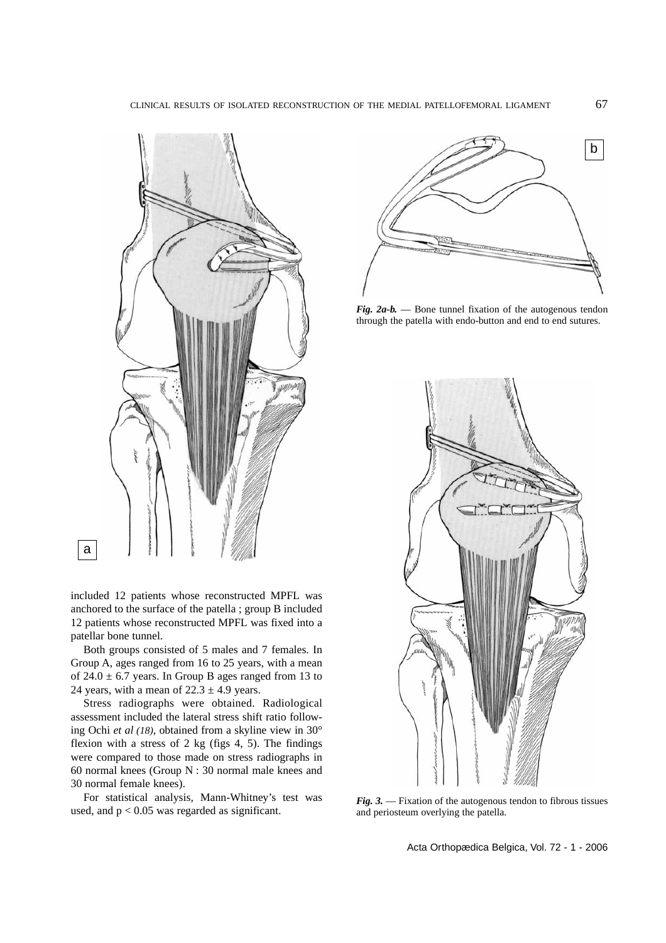

included 12 patients whose reconstructed MPFL was anchored to the surface of the patella ; group B included 12 patients whose reconstructed MPFL was fixed into a patellar bone tunnel.

Both groups consisted of 5 males and 7 females. In Group A, ages ranged from 16 to 25 years, with a mean of  $24.0 \pm 6.7$  years. In Group B ages ranged from 13 to 24 years, with a mean of  $22.3 \pm 4.9$  years.

Stress radiographs were obtained. Radiological assessment included the lateral stress shift ratio following Ochi *et al (18),* obtained from a skyline view in 30° flexion with a stress of  $2 \text{ kg}$  (figs  $4, 5$ ). The findings were compared to those made on stress radiographs in 60 normal knees (Group N : 30 normal male knees and 30 normal female knees).

For statistical analysis, Mann-Whitney's test was used, and  $p < 0.05$  was regarded as significant.



*Fig. 2a-b.* — Bone tunnel fixation of the autogenous tendon through the patella with endo-button and end to end sutures.



*Fig. 3.* — Fixation of the autogenous tendon to fibrous tissues and periosteum overlying the patella.

Acta Orthopædica Belgica, Vol. 72 - 1 - 2006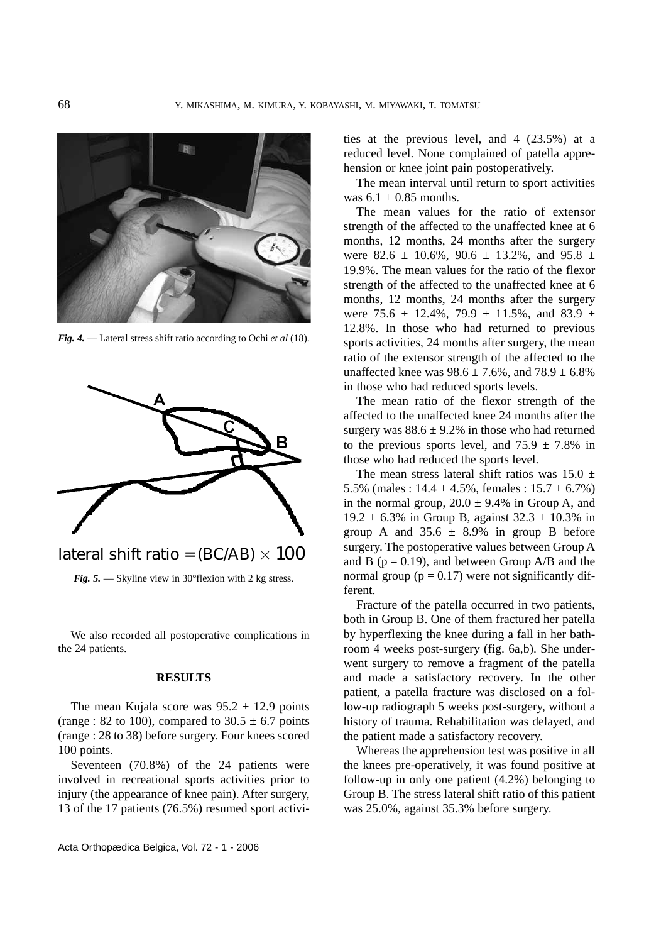

*Fig. 4.* — Lateral stress shift ratio according to Ochi *et al* (18).



lateral shift ratio = (BC/AB)  $\times$  100

*Fig. 5.* — Skyline view in 30° flexion with 2 kg stress.

We also recorded all postoperative complications in the 24 patients.

#### **RESULTS**

The mean Kujala score was  $95.2 \pm 12.9$  points (range : 82 to 100), compared to  $30.5 \pm 6.7$  points (range : 28 to 38) before surgery. Four knees scored 100 points.

Seventeen (70.8%) of the 24 patients were involved in recreational sports activities prior to injury (the appearance of knee pain). After surgery, 13 of the 17 patients (76.5%) resumed sport activi-

Acta Orthopædica Belgica, Vol. 72 - 1 - 2006

ties at the previous level, and 4 (23.5%) at a reduced level. None complained of patella apprehension or knee joint pain postoperatively.

The mean interval until return to sport activities was  $6.1 \pm 0.85$  months.

The mean values for the ratio of extensor strength of the affected to the unaffected knee at 6 months, 12 months, 24 months after the surgery were 82.6  $\pm$  10.6%, 90.6  $\pm$  13.2%, and 95.8  $\pm$ 19.9%. The mean values for the ratio of the flexor strength of the affected to the unaffected knee at 6 months, 12 months, 24 months after the surgery were 75.6  $\pm$  12.4%, 79.9  $\pm$  11.5%, and 83.9  $\pm$ 12.8%. In those who had returned to previous sports activities, 24 months after surgery, the mean ratio of the extensor strength of the affected to the unaffected knee was  $98.6 \pm 7.6\%$ , and  $78.9 \pm 6.8\%$ in those who had reduced sports levels.

The mean ratio of the flexor strength of the affected to the unaffected knee 24 months after the surgery was  $88.6 \pm 9.2\%$  in those who had returned to the previous sports level, and  $75.9 \pm 7.8\%$  in those who had reduced the sports level.

The mean stress lateral shift ratios was  $15.0 \pm 10^{-1}$ 5.5% (males :  $14.4 \pm 4.5$ %, females :  $15.7 \pm 6.7$ %) in the normal group,  $20.0 \pm 9.4\%$  in Group A, and 19.2  $\pm$  6.3% in Group B, against 32.3  $\pm$  10.3% in group A and  $35.6 \pm 8.9\%$  in group B before surgery. The postoperative values between Group A and B ( $p = 0.19$ ), and between Group A/B and the normal group ( $p = 0.17$ ) were not significantly different.

Fracture of the patella occurred in two patients, both in Group B. One of them fractured her patella by hyperflexing the knee during a fall in her bathroom 4 weeks post-surgery (fig. 6a,b). She underwent surgery to remove a fragment of the patella and made a satisfactory recovery. In the other patient, a patella fracture was disclosed on a follow-up radiograph 5 weeks post-surgery, without a history of trauma. Rehabilitation was delayed, and the patient made a satisfactory recovery.

Whereas the apprehension test was positive in all the knees pre-operatively, it was found positive at follow-up in only one patient (4.2%) belonging to Group B. The stress lateral shift ratio of this patient was 25.0%, against 35.3% before surgery.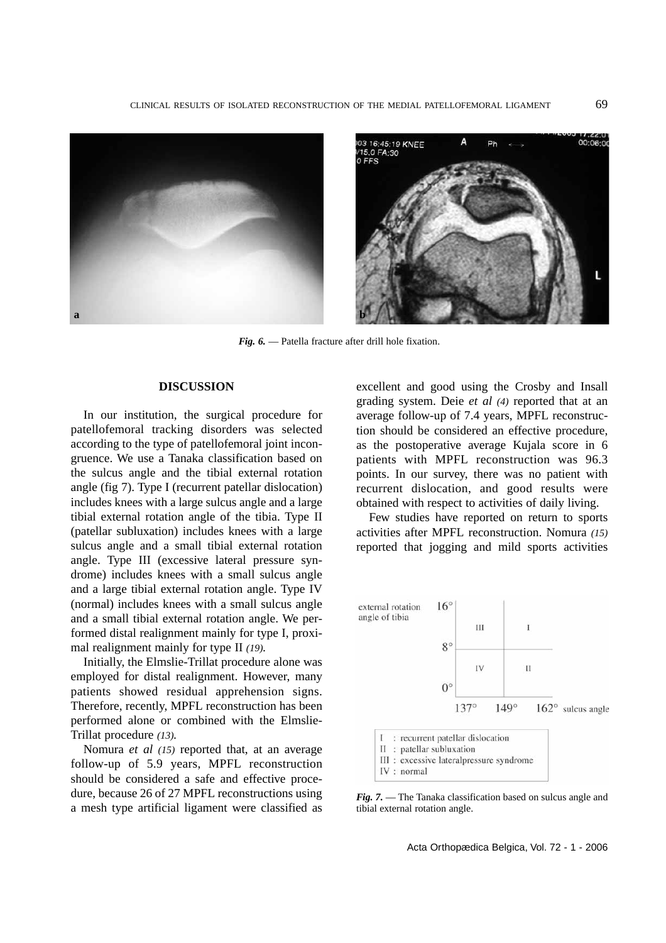

*Fig. 6.* — Patella fracture after drill hole fixation.

## **DISCUSSION**

In our institution, the surgical procedure for patellofemoral tracking disorders was selected according to the type of patellofemoral joint incongruence. We use a Tanaka classification based on the sulcus angle and the tibial external rotation angle (fig 7). Type I (recurrent patellar dislocation) includes knees with a large sulcus angle and a large tibial external rotation angle of the tibia. Type II (patellar subluxation) includes knees with a large sulcus angle and a small tibial external rotation angle. Type III (excessive lateral pressure syndrome) includes knees with a small sulcus angle and a large tibial external rotation angle. Type IV (normal) includes knees with a small sulcus angle and a small tibial external rotation angle. We performed distal realignment mainly for type I, proximal realignment mainly for type II *(19).*

Initially, the Elmslie-Trillat procedure alone was employed for distal realignment. However, many patients showed residual apprehension signs. Therefore, recently, MPFL reconstruction has been performed alone or combined with the Elmslie-Trillat procedure *(13).*

Nomura *et al (15)* reported that, at an average follow-up of 5.9 years, MPFL reconstruction should be considered a safe and effective procedure, because 26 of 27 MPFL reconstructions using a mesh type artificial ligament were classified as

excellent and good using the Crosby and Insall grading system. Deie *et al (4)* reported that at an average follow-up of 7.4 years, MPFL reconstruction should be considered an effective procedure, as the postoperative average Kujala score in 6 patients with MPFL reconstruction was 96.3 points. In our survey, there was no patient with recurrent dislocation, and good results were obtained with respect to activities of daily living.

Few studies have reported on return to sports activities after MPFL reconstruction. Nomura *(15)* reported that jogging and mild sports activities



*Fig. 7.* — The Tanaka classification based on sulcus angle and tibial external rotation angle.

Acta Orthopædica Belgica, Vol. 72 - 1 - 2006

 $00:06:00$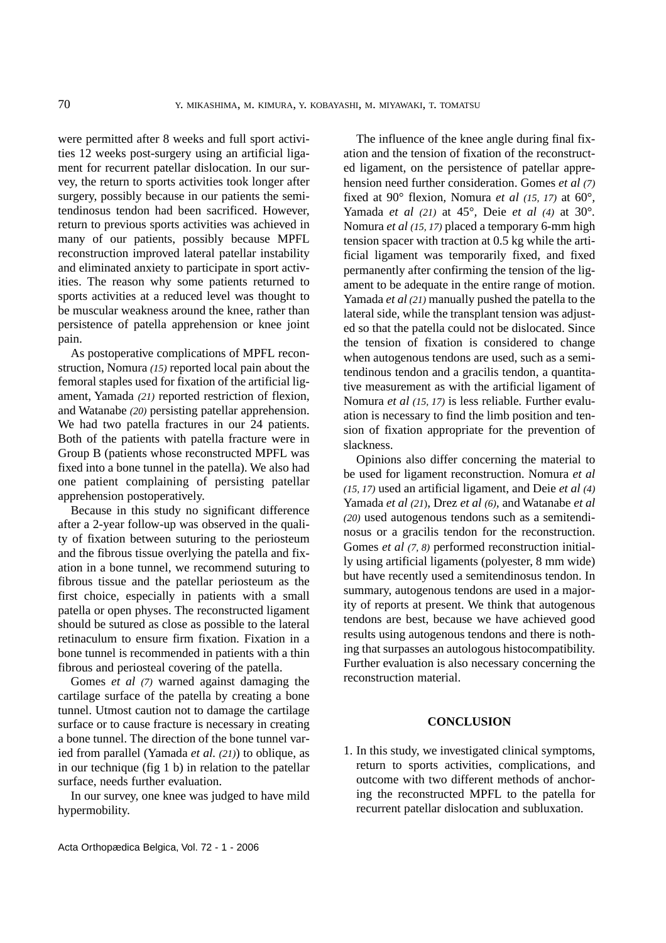were permitted after 8 weeks and full sport activities 12 weeks post-surgery using an artificial ligament for recurrent patellar dislocation. In our survey, the return to sports activities took longer after surgery, possibly because in our patients the semitendinosus tendon had been sacrificed. However, return to previous sports activities was achieved in many of our patients, possibly because MPFL reconstruction improved lateral patellar instability and eliminated anxiety to participate in sport activities. The reason why some patients returned to sports activities at a reduced level was thought to be muscular weakness around the knee, rather than persistence of patella apprehension or knee joint pain.

As postoperative complications of MPFL reconstruction, Nomura *(15)* reported local pain about the femoral staples used for fixation of the artificial ligament, Yamada *(21)* reported restriction of flexion, and Watanabe *(20)* persisting patellar apprehension. We had two patella fractures in our 24 patients. Both of the patients with patella fracture were in Group B (patients whose reconstructed MPFL was fixed into a bone tunnel in the patella). We also had one patient complaining of persisting patellar apprehension postoperatively.

Because in this study no significant difference after a 2-year follow-up was observed in the quality of fixation between suturing to the periosteum and the fibrous tissue overlying the patella and fixation in a bone tunnel, we recommend suturing to fibrous tissue and the patellar periosteum as the first choice, especially in patients with a small patella or open physes. The reconstructed ligament should be sutured as close as possible to the lateral retinaculum to ensure firm fixation. Fixation in a bone tunnel is recommended in patients with a thin fibrous and periosteal covering of the patella.

Gomes *et al (7)* warned against damaging the cartilage surface of the patella by creating a bone tunnel. Utmost caution not to damage the cartilage surface or to cause fracture is necessary in creating a bone tunnel. The direction of the bone tunnel varied from parallel (Yamada *et al. (21)*) to oblique, as in our technique (fig 1 b) in relation to the patellar surface, needs further evaluation.

In our survey, one knee was judged to have mild hypermobility.

The influence of the knee angle during final fixation and the tension of fixation of the reconstructed ligament, on the persistence of patellar apprehension need further consideration. Gomes *et al (7)* fixed at 90° flexion*,* Nomura *et al (15, 17)* at 60°*,* Yamada *et al (21)* at 45°*,* Deie *et al (4)* at 30°*.* Nomura *et al (15, 17)* placed a temporary 6-mm high tension spacer with traction at 0.5 kg while the artificial ligament was temporarily fixed, and fixed permanently after confirming the tension of the ligament to be adequate in the entire range of motion. Yamada *et al (21)* manually pushed the patella to the lateral side, while the transplant tension was adjusted so that the patella could not be dislocated. Since the tension of fixation is considered to change when autogenous tendons are used, such as a semitendinous tendon and a gracilis tendon, a quantitative measurement as with the artificial ligament of Nomura *et al (15, 17)* is less reliable*.* Further evaluation is necessary to find the limb position and tension of fixation appropriate for the prevention of slackness.

Opinions also differ concerning the material to be used for ligament reconstruction. Nomura *et al (15, 17)* used an artificial ligament, and Deie *et al (4)* Yamada *et al (21*), Drez *et al (6),* and Watanabe *et al (20)* used autogenous tendons such as a semitendinosus or a gracilis tendon for the reconstruction. Gomes *et al (7, 8)* performed reconstruction initially using artificial ligaments (polyester, 8 mm wide) but have recently used a semitendinosus tendon. In summary, autogenous tendons are used in a majority of reports at present. We think that autogenous tendons are best, because we have achieved good results using autogenous tendons and there is nothing that surpasses an autologous histocompatibility. Further evaluation is also necessary concerning the reconstruction material.

## **CONCLUSION**

1. In this study, we investigated clinical symptoms, return to sports activities, complications, and outcome with two different methods of anchoring the reconstructed MPFL to the patella for recurrent patellar dislocation and subluxation.